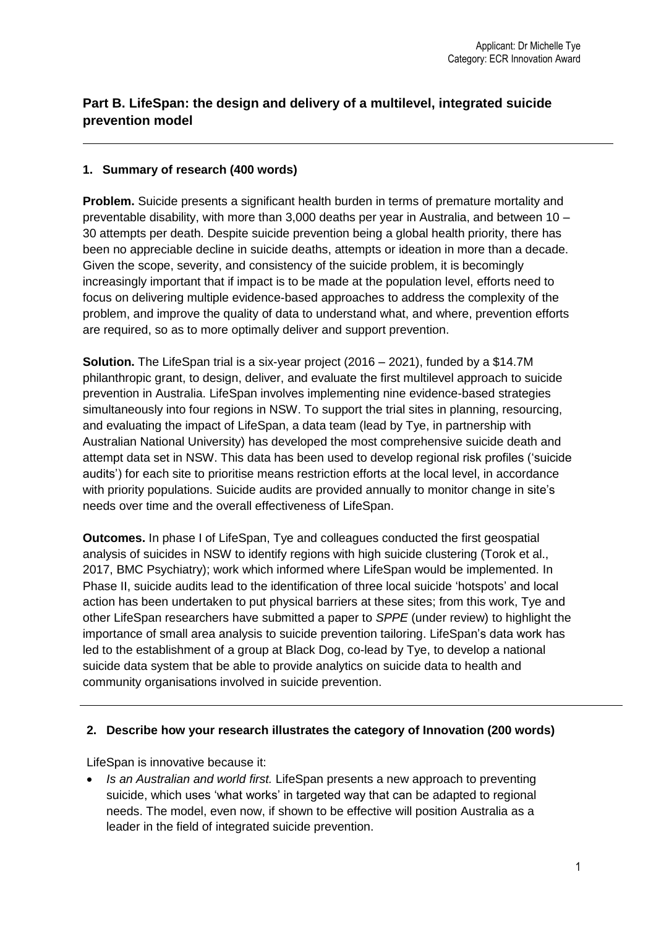# **Part B. LifeSpan: the design and delivery of a multilevel, integrated suicide prevention model**

#### **1. Summary of research (400 words)**

**Problem.** Suicide presents a significant health burden in terms of premature mortality and preventable disability, with more than 3,000 deaths per year in Australia, and between 10 – 30 attempts per death. Despite suicide prevention being a global health priority, there has been no appreciable decline in suicide deaths, attempts or ideation in more than a decade. Given the scope, severity, and consistency of the suicide problem, it is becomingly increasingly important that if impact is to be made at the population level, efforts need to focus on delivering multiple evidence-based approaches to address the complexity of the problem, and improve the quality of data to understand what, and where, prevention efforts are required, so as to more optimally deliver and support prevention.

**Solution.** The LifeSpan trial is a six-year project (2016 – 2021), funded by a \$14.7M philanthropic grant, to design, deliver, and evaluate the first multilevel approach to suicide prevention in Australia. LifeSpan involves implementing nine evidence-based strategies simultaneously into four regions in NSW. To support the trial sites in planning, resourcing, and evaluating the impact of LifeSpan, a data team (lead by Tye, in partnership with Australian National University) has developed the most comprehensive suicide death and attempt data set in NSW. This data has been used to develop regional risk profiles ('suicide audits') for each site to prioritise means restriction efforts at the local level, in accordance with priority populations. Suicide audits are provided annually to monitor change in site's needs over time and the overall effectiveness of LifeSpan.

**Outcomes.** In phase I of LifeSpan, Tye and colleagues conducted the first geospatial analysis of suicides in NSW to identify regions with high suicide clustering (Torok et al., 2017, BMC Psychiatry); work which informed where LifeSpan would be implemented. In Phase II, suicide audits lead to the identification of three local suicide 'hotspots' and local action has been undertaken to put physical barriers at these sites; from this work, Tye and other LifeSpan researchers have submitted a paper to *SPPE* (under review) to highlight the importance of small area analysis to suicide prevention tailoring. LifeSpan's data work has led to the establishment of a group at Black Dog, co-lead by Tye, to develop a national suicide data system that be able to provide analytics on suicide data to health and community organisations involved in suicide prevention.

#### **2. Describe how your research illustrates the category of Innovation (200 words)**

LifeSpan is innovative because it:

• *Is an Australian and world first.* LifeSpan presents a new approach to preventing suicide, which uses 'what works' in targeted way that can be adapted to regional needs. The model, even now, if shown to be effective will position Australia as a leader in the field of integrated suicide prevention.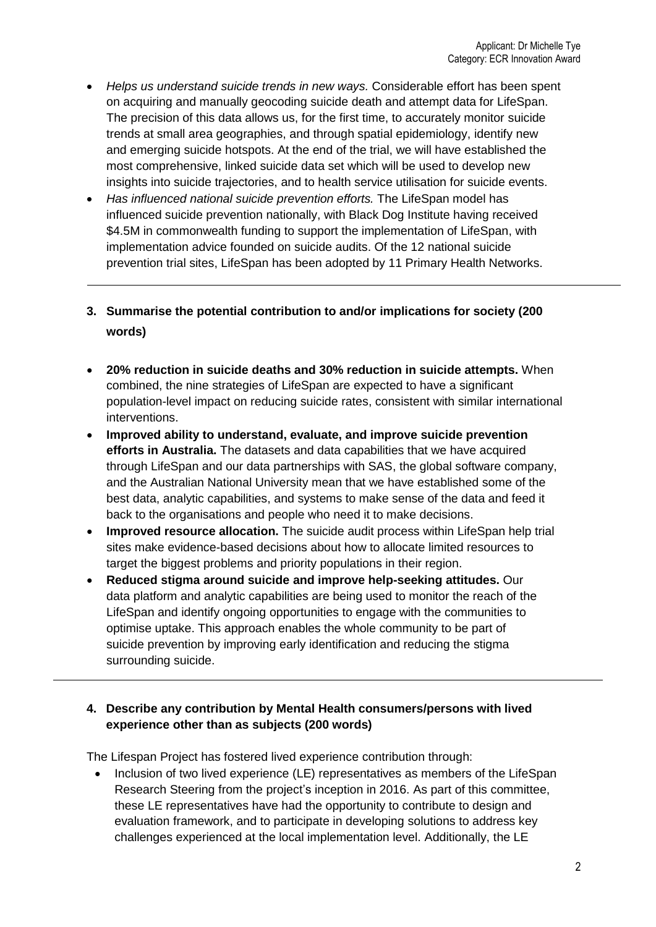- *Helps us understand suicide trends in new ways.* Considerable effort has been spent on acquiring and manually geocoding suicide death and attempt data for LifeSpan. The precision of this data allows us, for the first time, to accurately monitor suicide trends at small area geographies, and through spatial epidemiology, identify new and emerging suicide hotspots. At the end of the trial, we will have established the most comprehensive, linked suicide data set which will be used to develop new insights into suicide trajectories, and to health service utilisation for suicide events.
- *Has influenced national suicide prevention efforts.* The LifeSpan model has influenced suicide prevention nationally, with Black Dog Institute having received \$4.5M in commonwealth funding to support the implementation of LifeSpan, with implementation advice founded on suicide audits. Of the 12 national suicide prevention trial sites, LifeSpan has been adopted by 11 Primary Health Networks.
- **3. Summarise the potential contribution to and/or implications for society (200 words)**
- **20% reduction in suicide deaths and 30% reduction in suicide attempts.** When combined, the nine strategies of LifeSpan are expected to have a significant population-level impact on reducing suicide rates, consistent with similar international interventions.
- **Improved ability to understand, evaluate, and improve suicide prevention efforts in Australia.** The datasets and data capabilities that we have acquired through LifeSpan and our data partnerships with SAS, the global software company, and the Australian National University mean that we have established some of the best data, analytic capabilities, and systems to make sense of the data and feed it back to the organisations and people who need it to make decisions.
- **Improved resource allocation.** The suicide audit process within LifeSpan help trial sites make evidence-based decisions about how to allocate limited resources to target the biggest problems and priority populations in their region.
- **Reduced stigma around suicide and improve help-seeking attitudes.** Our data platform and analytic capabilities are being used to monitor the reach of the LifeSpan and identify ongoing opportunities to engage with the communities to optimise uptake. This approach enables the whole community to be part of suicide prevention by improving early identification and reducing the stigma surrounding suicide.

## **4. Describe any contribution by Mental Health consumers/persons with lived experience other than as subjects (200 words)**

The Lifespan Project has fostered lived experience contribution through:

• Inclusion of two lived experience (LE) representatives as members of the LifeSpan Research Steering from the project's inception in 2016. As part of this committee, these LE representatives have had the opportunity to contribute to design and evaluation framework, and to participate in developing solutions to address key challenges experienced at the local implementation level. Additionally, the LE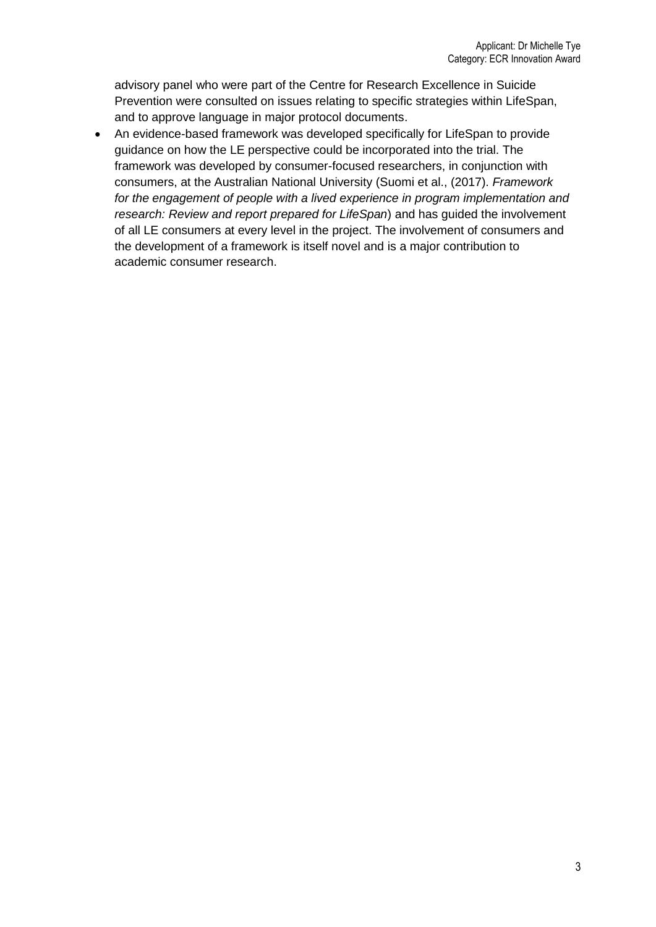advisory panel who were part of the Centre for Research Excellence in Suicide Prevention were consulted on issues relating to specific strategies within LifeSpan, and to approve language in major protocol documents.

• An evidence-based framework was developed specifically for LifeSpan to provide guidance on how the LE perspective could be incorporated into the trial. The framework was developed by consumer-focused researchers, in conjunction with consumers, at the Australian National University (Suomi et al., (2017). *Framework for the engagement of people with a lived experience in program implementation and research: Review and report prepared for LifeSpan*) and has guided the involvement of all LE consumers at every level in the project. The involvement of consumers and the development of a framework is itself novel and is a major contribution to academic consumer research.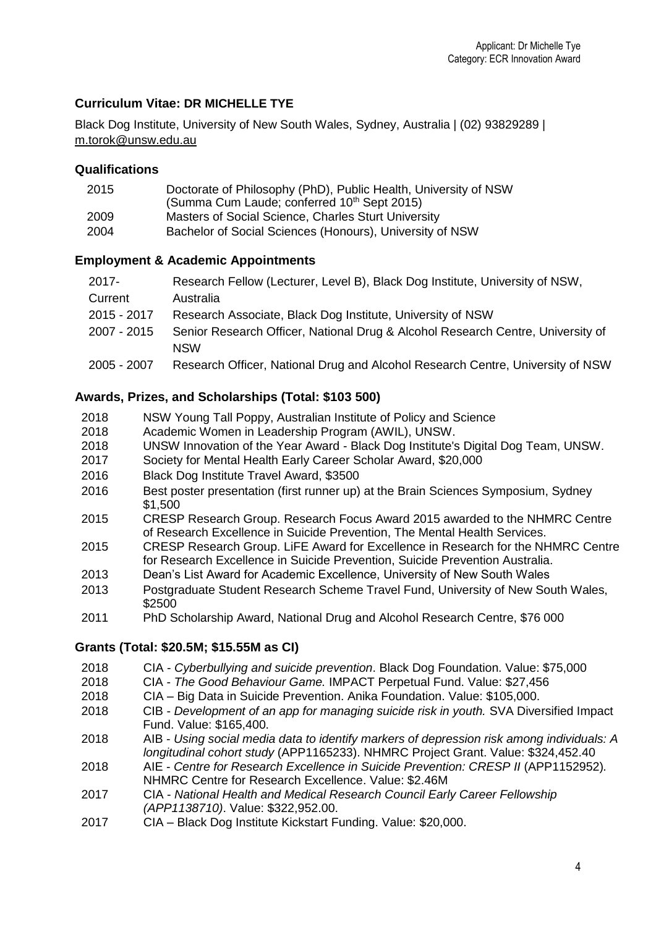### **Curriculum Vitae: DR MICHELLE TYE**

Black Dog Institute, University of New South Wales, Sydney, Australia | (02) 93829289 | [m.torok@unsw.edu.au](mailto:m.torok@unsw.edu.au)

#### **Qualifications**

| 2015 | Doctorate of Philosophy (PhD), Public Health, University of NSW |
|------|-----------------------------------------------------------------|
|      | (Summa Cum Laude; conferred 10 <sup>th</sup> Sept 2015)         |
| 2009 | Masters of Social Science, Charles Sturt University             |
| 2004 | Bachelor of Social Sciences (Honours), University of NSW        |

#### **Employment & Academic Appointments**

| $2017 -$    | Research Fellow (Lecturer, Level B), Black Dog Institute, University of NSW,           |
|-------------|----------------------------------------------------------------------------------------|
| Current     | Australia                                                                              |
| 2015 - 2017 | Research Associate, Black Dog Institute, University of NSW                             |
| 2007 - 2015 | Senior Research Officer, National Drug & Alcohol Research Centre, University of<br>NSW |
| 2005 - 2007 | Research Officer, National Drug and Alcohol Research Centre, University of NSW         |

#### **Awards, Prizes, and Scholarships (Total: \$103 500)**

- 2018 NSW Young Tall Poppy, Australian Institute of Policy and Science<br>2018 – Academic Women in Leadership Program (AWIL), UNSW.
- Academic Women in Leadership Program (AWIL), UNSW.
- 2018 UNSW Innovation of the Year Award Black Dog Institute's Digital Dog Team, UNSW.
- 2017 Society for Mental Health Early Career Scholar Award, \$20,000
- 2016 Black Dog Institute Travel Award, \$3500
- 2016 Best poster presentation (first runner up) at the Brain Sciences Symposium, Sydney \$1,500
- 2015 CRESP Research Group. Research Focus Award 2015 awarded to the NHMRC Centre of Research Excellence in Suicide Prevention, The Mental Health Services.
- 2015 CRESP Research Group. LiFE Award for Excellence in Research for the NHMRC Centre for Research Excellence in Suicide Prevention, Suicide Prevention Australia.
- 2013 Dean's List Award for Academic Excellence, University of New South Wales
- 2013 Postgraduate Student Research Scheme Travel Fund, University of New South Wales, \$2500
- 2011 PhD Scholarship Award, National Drug and Alcohol Research Centre, \$76 000

#### **Grants (Total: \$20.5M; \$15.55M as CI)**

- 2018 CIA *Cyberbullying and suicide prevention*. Black Dog Foundation. Value: \$75,000
- 2018 CIA *The Good Behaviour Game.* IMPACT Perpetual Fund. Value: \$27,456
- 2018 CIA Big Data in Suicide Prevention. Anika Foundation. Value: \$105,000.
- 2018 CIB *Development of an app for managing suicide risk in youth.* SVA Diversified Impact Fund. Value: \$165,400.
- 2018 AIB *Using social media data to identify markers of depression risk among individuals: A longitudinal cohort study* (APP1165233). NHMRC Project Grant. Value: \$324,452.40
- 2018 AIE *Centre for Research Excellence in Suicide Prevention: CRESP II* (APP1152952)*.* NHMRC Centre for Research Excellence. Value: \$2.46M
- 2017 CIA *National Health and Medical Research Council Early Career Fellowship (APP1138710)*. Value: \$322,952.00.
- 2017 CIA Black Dog Institute Kickstart Funding. Value: \$20,000.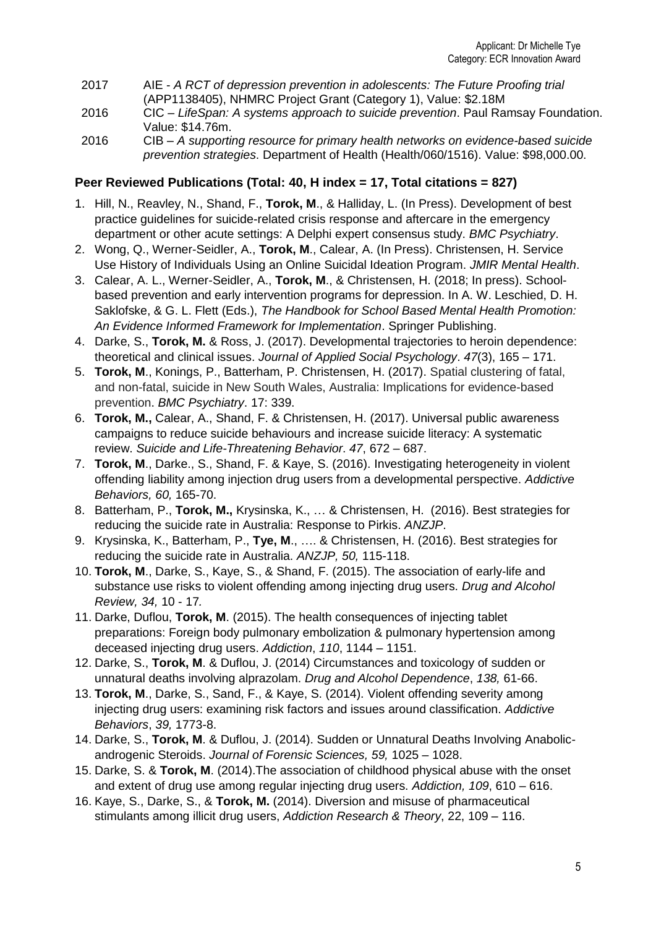- 2017 AIE *A RCT of depression prevention in adolescents: The Future Proofing trial* (APP1138405), NHMRC Project Grant (Category 1), Value: \$2.18M
- 2016 CIC *LifeSpan: A systems approach to suicide prevention*. Paul Ramsay Foundation. Value: \$14.76m.
- 2016 CIB *A supporting resource for primary health networks on evidence-based suicide prevention strategies*. Department of Health (Health/060/1516). Value: \$98,000.00.

### **Peer Reviewed Publications (Total: 40, H index = 17, Total citations = 827)**

- 1. Hill, N., Reavley, N., Shand, F., **Torok, M**., & Halliday, L. (In Press). Development of best practice guidelines for suicide-related crisis response and aftercare in the emergency department or other acute settings: A Delphi expert consensus study. *BMC Psychiatry*.
- 2. Wong, Q., Werner-Seidler, A., **Torok, M**., Calear, A. (In Press). Christensen, H. Service Use History of Individuals Using an Online Suicidal Ideation Program. *JMIR Mental Health*.
- 3. Calear, A. L., Werner-Seidler, A., **Torok, M**., & Christensen, H. (2018; In press). Schoolbased prevention and early intervention programs for depression. In A. W. Leschied, D. H. Saklofske, & G. L. Flett (Eds.), *The Handbook for School Based Mental Health Promotion: An Evidence Informed Framework for Implementation*. Springer Publishing.
- 4. Darke, S., **Torok, M.** & Ross, J. (2017). Developmental trajectories to heroin dependence: theoretical and clinical issues. *Journal of Applied Social Psychology*. *47*(3), 165 – 171.
- 5. **Torok, M**., Konings, P., Batterham, P. Christensen, H. (2017). Spatial clustering of fatal, and non-fatal, suicide in New South Wales, Australia: Implications for evidence-based prevention. *BMC Psychiatry*. 17: 339.
- 6. **Torok, M.,** Calear, A., Shand, F. & Christensen, H. (2017). Universal public awareness campaigns to reduce suicide behaviours and increase suicide literacy: A systematic review. *Suicide and Life-Threatening Behavior*. *47*, 672 – 687.
- 7. **Torok, M**., Darke., S., Shand, F. & Kaye, S. (2016). Investigating heterogeneity in violent offending liability among injection drug users from a developmental perspective. *Addictive Behaviors, 60,* 165-70.
- 8. Batterham, P., **Torok, M.,** Krysinska, K., … & Christensen, H. (2016). Best strategies for reducing the suicide rate in Australia: Response to Pirkis. *ANZJP*.
- 9. Krysinska, K., Batterham, P., **Tye, M**., …. & Christensen, H. (2016). Best strategies for reducing the suicide rate in Australia. *ANZJP, 50,* 115-118.
- 10. **Torok, M**., Darke, S., Kaye, S., & Shand, F. (2015). The association of early-life and substance use risks to violent offending among injecting drug users. *Drug and Alcohol Review, 34,* 10 - 17*.*
- 11. Darke, Duflou, **Torok, M**. (2015). The health consequences of injecting tablet preparations: Foreign body pulmonary embolization & pulmonary hypertension among deceased injecting drug users. *Addiction*, *110*, 1144 – 1151.
- 12. Darke, S., **Torok, M**. & Duflou, J. (2014) Circumstances and toxicology of sudden or unnatural deaths involving alprazolam. *Drug and Alcohol Dependence*, *138,* 61-66.
- 13. **Torok, M**., Darke, S., Sand, F., & Kaye, S. (2014). Violent offending severity among injecting drug users: examining risk factors and issues around classification. *Addictive Behaviors*, *39,* 1773-8.
- 14. Darke, S., **Torok, M**. & Duflou, J. (2014). Sudden or Unnatural Deaths Involving Anabolicandrogenic Steroids. *Journal of Forensic Sciences, 59,* 1025 – 1028.
- 15. Darke, S. & **Torok, M**. (2014).The association of childhood physical abuse with the onset and extent of drug use among regular injecting drug users. *Addiction, 109*, 610 – 616.
- 16. Kaye, S., Darke, S., & **Torok, M.** (2014). Diversion and misuse of pharmaceutical stimulants among illicit drug users, *Addiction Research & Theory*, 22, 109 – 116.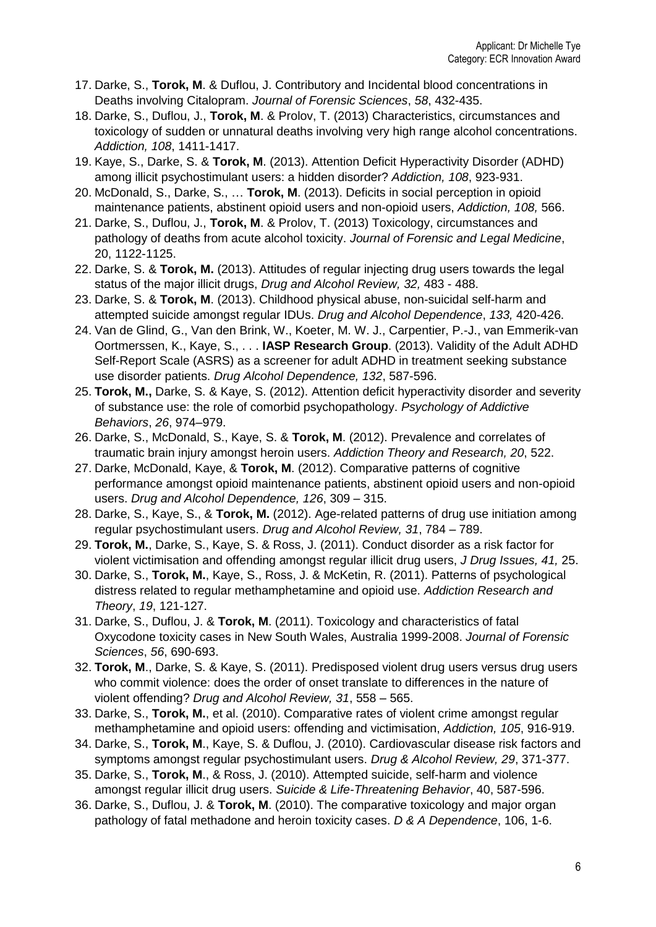- 17. Darke, S., **Torok, M**. & Duflou, J. Contributory and Incidental blood concentrations in Deaths involving Citalopram. *Journal of Forensic Sciences*, *58*, 432-435.
- 18. Darke, S., Duflou, J., **Torok, M**. & Prolov, T. (2013) Characteristics, circumstances and toxicology of sudden or unnatural deaths involving very high range alcohol concentrations. *Addiction, 108*, 1411-1417.
- 19. Kaye, S., Darke, S. & **Torok, M**. (2013). Attention Deficit Hyperactivity Disorder (ADHD) among illicit psychostimulant users: a hidden disorder? *Addiction, 108*, 923-931.
- 20. McDonald, S., Darke, S., … **Torok, M**. (2013). Deficits in social perception in opioid maintenance patients, abstinent opioid users and non-opioid users, *Addiction, 108,* 566.
- 21. Darke, S., Duflou, J., **Torok, M**. & Prolov, T. (2013) Toxicology, circumstances and pathology of deaths from acute alcohol toxicity. *Journal of Forensic and Legal Medicine*, 20, 1122-1125.
- 22. Darke, S. & **Torok, M.** (2013). Attitudes of regular injecting drug users towards the legal status of the major illicit drugs, *Drug and Alcohol Review, 32,* 483 - 488.
- 23. Darke, S. & **Torok, M**. (2013). Childhood physical abuse, non-suicidal self-harm and attempted suicide amongst regular IDUs. *Drug and Alcohol Dependence*, *133,* 420-426.
- 24. Van de Glind, G., Van den Brink, W., Koeter, M. W. J., Carpentier, P.-J., van Emmerik-van Oortmerssen, K., Kaye, S., . . . **IASP Research Group**. (2013). Validity of the Adult ADHD Self-Report Scale (ASRS) as a screener for adult ADHD in treatment seeking substance use disorder patients. *Drug Alcohol Dependence, 132*, 587-596.
- 25. **Torok, M.,** Darke, S. & Kaye, S. (2012). Attention deficit hyperactivity disorder and severity of substance use: the role of comorbid psychopathology. *Psychology of Addictive Behaviors*, *26*, 974–979.
- 26. Darke, S., McDonald, S., Kaye, S. & **Torok, M**. (2012). Prevalence and correlates of traumatic brain injury amongst heroin users. *Addiction Theory and Research, 20*, 522.
- 27. Darke, McDonald, Kaye, & **Torok, M**. (2012). Comparative patterns of cognitive performance amongst opioid maintenance patients, abstinent opioid users and non-opioid users. *Drug and Alcohol Dependence, 126*, 309 – 315.
- 28. Darke, S., Kaye, S., & **Torok, M.** (2012). Age-related patterns of drug use initiation among regular psychostimulant users. *Drug and Alcohol Review, 31*, 784 – 789.
- 29. **Torok, M.**, Darke, S., Kaye, S. & Ross, J. (2011). Conduct disorder as a risk factor for violent victimisation and offending amongst regular illicit drug users, *J Drug Issues, 41,* 25.
- 30. Darke, S., **Torok, M.**, Kaye, S., Ross, J. & McKetin, R. (2011). Patterns of psychological distress related to regular methamphetamine and opioid use. *Addiction Research and Theory*, *19*, 121-127.
- 31. Darke, S., Duflou, J. & **Torok, M**. (2011). Toxicology and characteristics of fatal Oxycodone toxicity cases in New South Wales, Australia 1999-2008. *Journal of Forensic Sciences*, *56*, 690-693.
- 32. **Torok, M**., Darke, S. & Kaye, S. (2011). Predisposed violent drug users versus drug users who commit violence: does the order of onset translate to differences in the nature of violent offending? *Drug and Alcohol Review, 31*, 558 – 565.
- 33. Darke, S., **Torok, M.**, et al. (2010). Comparative rates of violent crime amongst regular methamphetamine and opioid users: offending and victimisation, *Addiction, 105*, 916-919.
- 34. Darke, S., **Torok, M**., Kaye, S. & Duflou, J. (2010). Cardiovascular disease risk factors and symptoms amongst regular psychostimulant users. *Drug & Alcohol Review, 29*, 371-377.
- 35. Darke, S., **Torok, M**., & Ross, J. (2010). Attempted suicide, self-harm and violence amongst regular illicit drug users. *Suicide & Life-Threatening Behavior*, 40, 587-596.
- 36. Darke, S., Duflou, J. & **Torok, M**. (2010). The comparative toxicology and major organ pathology of fatal methadone and heroin toxicity cases. *D & A Dependence*, 106, 1-6.